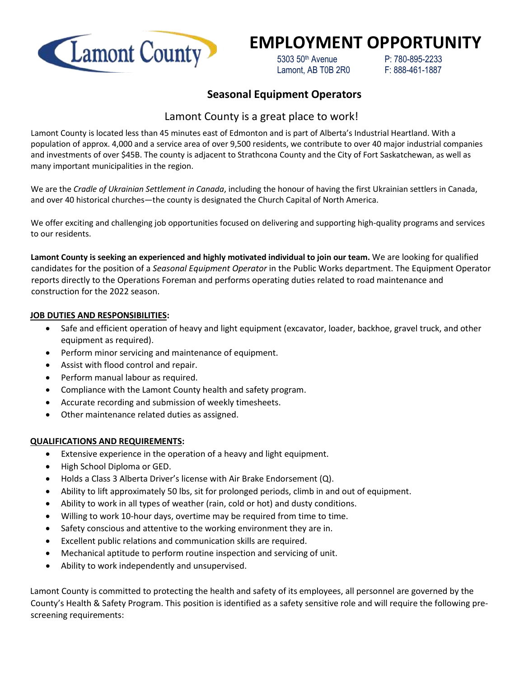

# **EMPLOYMENT OPPORTUNITY**

 5303 50th Avenue P: 780-895-2233 Lamont, AB T0B 2R0 F: 888-461-1887

## **Seasonal Equipment Operators**

## Lamont County is a great place to work!

Lamont County is located less than 45 minutes east of Edmonton and is part of Alberta's Industrial Heartland. With a population of approx. 4,000 and a service area of over 9,500 residents, we contribute to over 40 major industrial companies and investments of over \$45B. The county is adjacent to Strathcona County and the City of Fort Saskatchewan, as well as many important municipalities in the region.

We are the *Cradle of Ukrainian Settlement in Canada*, including the honour of having the first Ukrainian settlers in Canada, and over 40 historical churches—the county is designated the Church Capital of North America.

We offer exciting and challenging job opportunities focused on delivering and supporting high-quality programs and services to our residents.

**Lamont County is seeking an experienced and highly motivated individual to join our team.** We are looking for qualified candidates for the position of a *Seasonal Equipment Operator* in the Public Works department. The Equipment Operator reports directly to the Operations Foreman and performs operating duties related to road maintenance and construction for the 2022 season.

#### **JOB DUTIES AND RESPONSIBILITIES:**

- Safe and efficient operation of heavy and light equipment (excavator, loader, backhoe, gravel truck, and other equipment as required).
- Perform minor servicing and maintenance of equipment.
- Assist with flood control and repair.
- Perform manual labour as required.
- Compliance with the Lamont County health and safety program.
- Accurate recording and submission of weekly timesheets.
- Other maintenance related duties as assigned.

### **QUALIFICATIONS AND REQUIREMENTS:**

- Extensive experience in the operation of a heavy and light equipment.
- High School Diploma or GED.
- Holds a Class 3 Alberta Driver's license with Air Brake Endorsement (Q).
- Ability to lift approximately 50 lbs, sit for prolonged periods, climb in and out of equipment.
- Ability to work in all types of weather (rain, cold or hot) and dusty conditions.
- Willing to work 10-hour days, overtime may be required from time to time.
- Safety conscious and attentive to the working environment they are in.
- Excellent public relations and communication skills are required.
- Mechanical aptitude to perform routine inspection and servicing of unit.
- Ability to work independently and unsupervised.

Lamont County is committed to protecting the health and safety of its employees, all personnel are governed by the County's Health & Safety Program. This position is identified as a safety sensitive role and will require the following prescreening requirements: